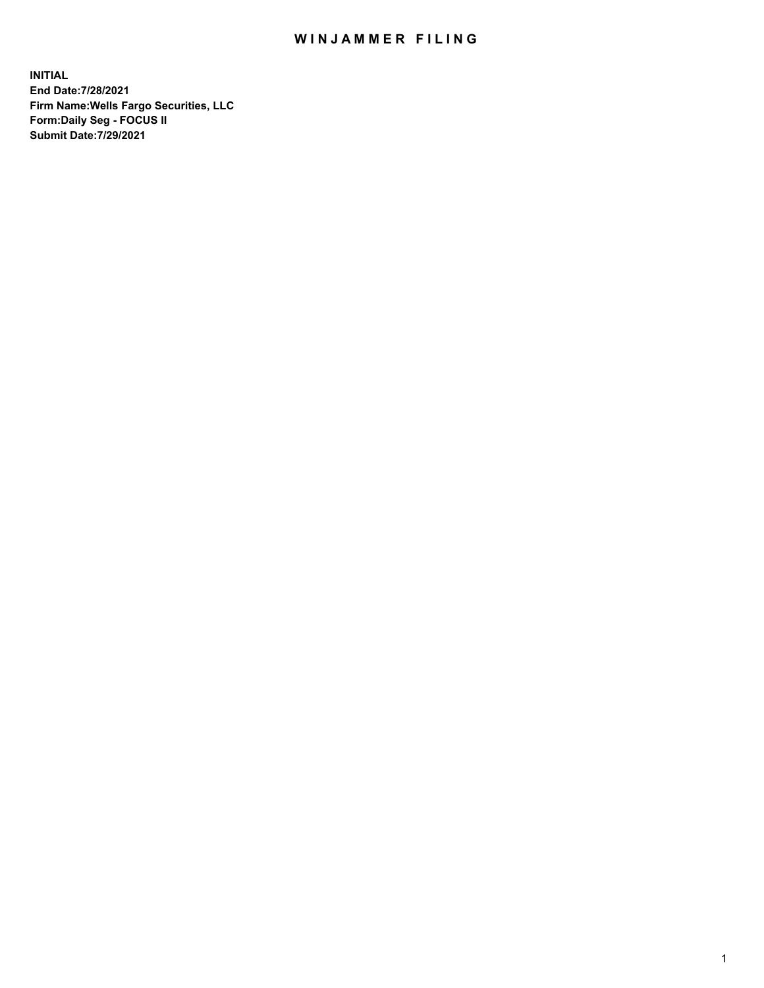## WIN JAMMER FILING

**INITIAL End Date:7/28/2021 Firm Name:Wells Fargo Securities, LLC Form:Daily Seg - FOCUS II Submit Date:7/29/2021**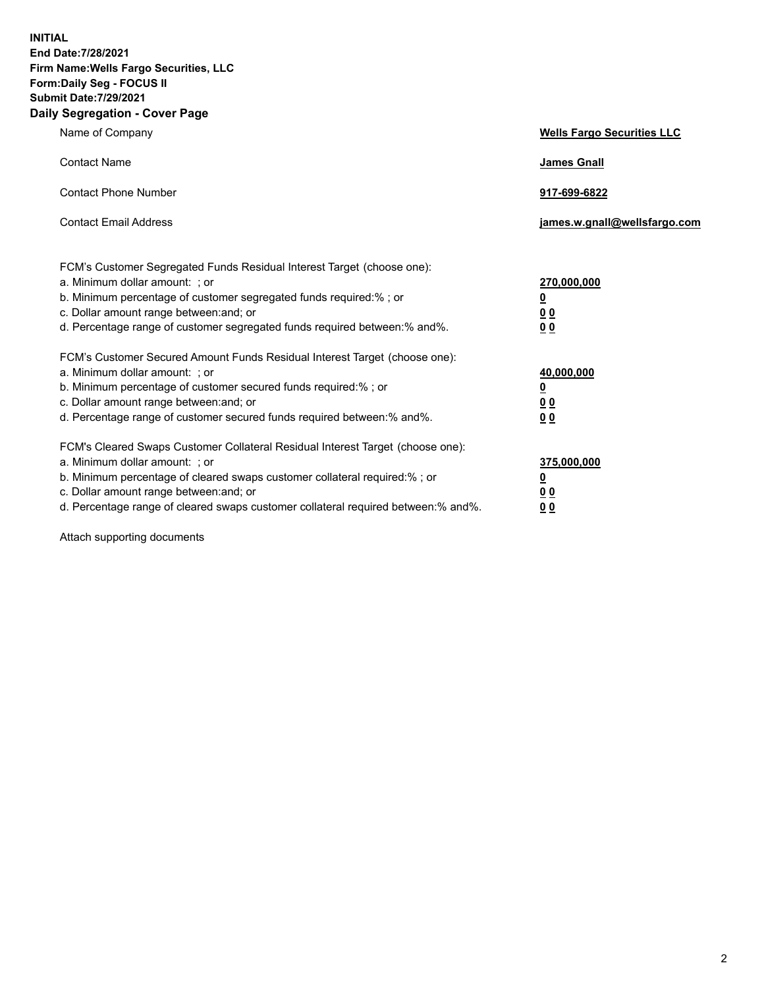**INITIAL End Date:7/28/2021 Firm Name:Wells Fargo Securities, LLC Form:Daily Seg - FOCUS II Submit Date:7/29/2021 Daily Segregation - Cover Page**

| Name of Company                                                                                                                                                                                                                                                                                                                | <b>Wells Fargo Securities LLC</b>                              |
|--------------------------------------------------------------------------------------------------------------------------------------------------------------------------------------------------------------------------------------------------------------------------------------------------------------------------------|----------------------------------------------------------------|
| <b>Contact Name</b>                                                                                                                                                                                                                                                                                                            | <b>James Gnall</b>                                             |
| <b>Contact Phone Number</b>                                                                                                                                                                                                                                                                                                    | 917-699-6822                                                   |
| <b>Contact Email Address</b>                                                                                                                                                                                                                                                                                                   | james.w.gnall@wellsfargo.com                                   |
| FCM's Customer Segregated Funds Residual Interest Target (choose one):<br>a. Minimum dollar amount: ; or<br>b. Minimum percentage of customer segregated funds required:% ; or<br>c. Dollar amount range between: and; or<br>d. Percentage range of customer segregated funds required between:% and%.                         | 270,000,000<br>$\overline{\mathbf{0}}$<br>0 <sub>0</sub><br>00 |
| FCM's Customer Secured Amount Funds Residual Interest Target (choose one):<br>a. Minimum dollar amount: ; or<br>b. Minimum percentage of customer secured funds required:% ; or<br>c. Dollar amount range between: and; or<br>d. Percentage range of customer secured funds required between:% and%.                           | 40,000,000<br><u>0</u><br>00<br>0 <sub>0</sub>                 |
| FCM's Cleared Swaps Customer Collateral Residual Interest Target (choose one):<br>a. Minimum dollar amount: ; or<br>b. Minimum percentage of cleared swaps customer collateral required:% ; or<br>c. Dollar amount range between: and; or<br>d. Percentage range of cleared swaps customer collateral required between:% and%. | 375,000,000<br><u>0</u><br>0 <sub>0</sub><br>00                |

Attach supporting documents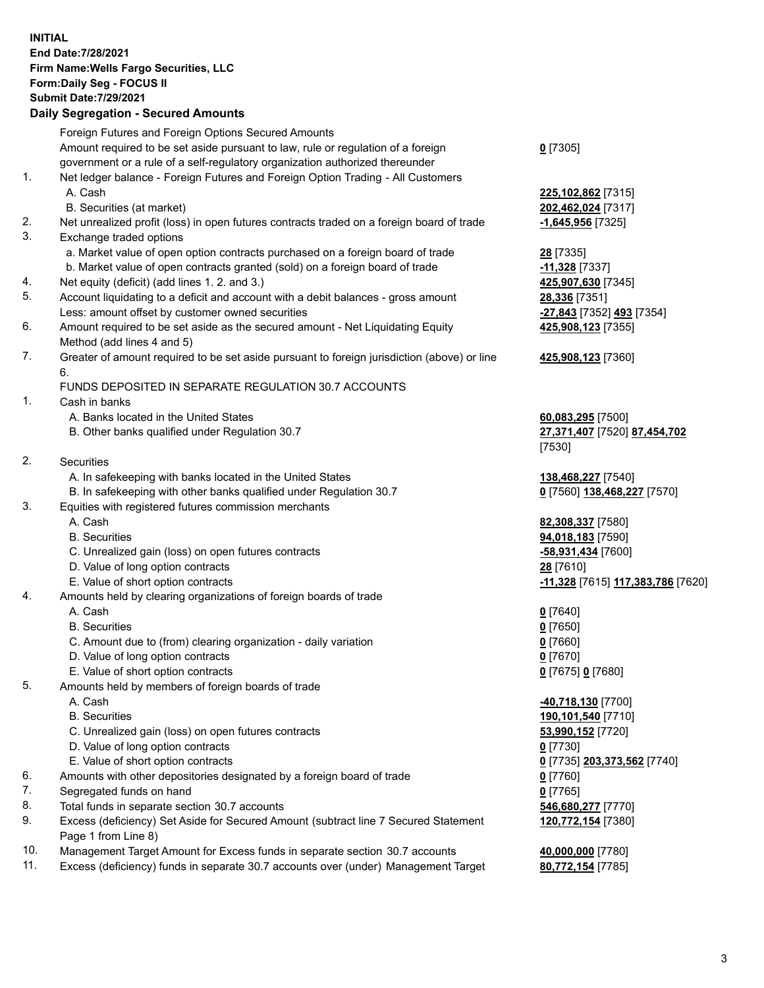**INITIAL End Date:7/28/2021 Firm Name:Wells Fargo Securities, LLC Form:Daily Seg - FOCUS II Submit Date:7/29/2021**

## **Daily Segregation - Secured Amounts**

|                 | Foreign Futures and Foreign Options Secured Amounts                                         |                                   |
|-----------------|---------------------------------------------------------------------------------------------|-----------------------------------|
|                 | Amount required to be set aside pursuant to law, rule or regulation of a foreign            | $0$ [7305]                        |
|                 | government or a rule of a self-regulatory organization authorized thereunder                |                                   |
| 1.              | Net ledger balance - Foreign Futures and Foreign Option Trading - All Customers             |                                   |
|                 | A. Cash                                                                                     | 225,102,862 [7315]                |
|                 | B. Securities (at market)                                                                   | 202,462,024 [7317]                |
| 2.              | Net unrealized profit (loss) in open futures contracts traded on a foreign board of trade   | <u>-1,645,956</u> [7325]          |
| 3.              | Exchange traded options                                                                     |                                   |
|                 | a. Market value of open option contracts purchased on a foreign board of trade              | 28 [7335]                         |
|                 | b. Market value of open contracts granted (sold) on a foreign board of trade                | -11,328 [7337]                    |
| 4.              | Net equity (deficit) (add lines 1. 2. and 3.)                                               | 425,907,630 [7345]                |
| 5.              | Account liquidating to a deficit and account with a debit balances - gross amount           | 28,336 [7351]                     |
|                 | Less: amount offset by customer owned securities                                            | -27,843 [7352] 493 [7354]         |
| 6.              | Amount required to be set aside as the secured amount - Net Liquidating Equity              | 425,908,123 [7355]                |
|                 | Method (add lines 4 and 5)                                                                  |                                   |
| 7.              | Greater of amount required to be set aside pursuant to foreign jurisdiction (above) or line | 425,908,123 [7360]                |
|                 | 6.                                                                                          |                                   |
|                 | FUNDS DEPOSITED IN SEPARATE REGULATION 30.7 ACCOUNTS                                        |                                   |
| 1.              | Cash in banks                                                                               |                                   |
|                 | A. Banks located in the United States                                                       | 60,083,295 [7500]                 |
|                 | B. Other banks qualified under Regulation 30.7                                              | 27,371,407 [7520] 87,454,702      |
|                 |                                                                                             | [7530]                            |
| 2.              | <b>Securities</b>                                                                           |                                   |
|                 | A. In safekeeping with banks located in the United States                                   | 138,468,227 [7540]                |
|                 | B. In safekeeping with other banks qualified under Regulation 30.7                          | 0 [7560] 138,468,227 [7570]       |
| 3.              | Equities with registered futures commission merchants                                       |                                   |
|                 | A. Cash                                                                                     | 82,308,337 [7580]                 |
|                 | <b>B.</b> Securities                                                                        | 94,018,183 [7590]                 |
|                 | C. Unrealized gain (loss) on open futures contracts                                         | -58,931,434 [7600]                |
|                 | D. Value of long option contracts                                                           | 28 [7610]                         |
|                 | E. Value of short option contracts                                                          | -11,328 [7615] 117,383,786 [7620] |
| 4.              | Amounts held by clearing organizations of foreign boards of trade                           |                                   |
|                 | A. Cash                                                                                     | $0$ [7640]                        |
|                 | <b>B.</b> Securities                                                                        | $0$ [7650]                        |
|                 | C. Amount due to (from) clearing organization - daily variation                             | $0$ [7660]                        |
|                 | D. Value of long option contracts                                                           | $0$ [7670]                        |
|                 | E. Value of short option contracts                                                          | 0 [7675] 0 [7680]                 |
| 5.              | Amounts held by members of foreign boards of trade                                          |                                   |
|                 | A. Cash                                                                                     | 40,718,130 [7700]                 |
|                 | <b>B.</b> Securities                                                                        | 190,101,540 [7710]                |
|                 | C. Unrealized gain (loss) on open futures contracts                                         | 53,990,152 [7720]                 |
|                 | D. Value of long option contracts                                                           | $0$ [7730]                        |
|                 | E. Value of short option contracts                                                          | 0 [7735] 203,373,562 [7740]       |
| 6.              | Amounts with other depositories designated by a foreign board of trade                      | $0$ [7760]                        |
| 7.              | Segregated funds on hand                                                                    | $0$ [7765]                        |
| 8.              | Total funds in separate section 30.7 accounts                                               | 546,680,277 [7770]                |
| 9.              | Excess (deficiency) Set Aside for Secured Amount (subtract line 7 Secured Statement         | 120,772,154 [7380]                |
|                 | Page 1 from Line 8)                                                                         |                                   |
| $\overline{10}$ | $\ldots$ for $\blacksquare$ . The set for the second set of the set of $\blacksquare$       |                                   |

- 10. Management Target Amount for Excess funds in separate section 30.7 accounts **40,000,000** [7780]
- 11. Excess (deficiency) funds in separate 30.7 accounts over (under) Management Target **80,772,154** [7785]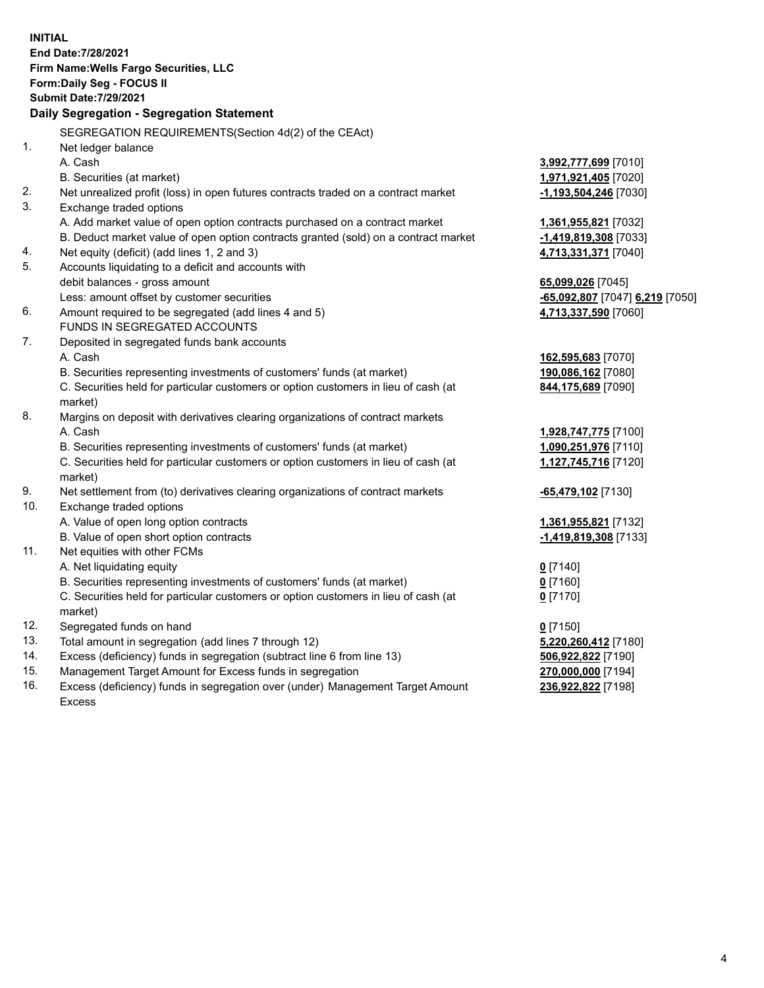**INITIAL End Date:7/28/2021 Firm Name:Wells Fargo Securities, LLC Form:Daily Seg - FOCUS II Submit Date:7/29/2021 Daily Segregation - Segregation Statement** SEGREGATION REQUIREMENTS(Section 4d(2) of the CEAct) 1. Net ledger balance A. Cash **3,992,777,699** [7010] B. Securities (at market) **1,971,921,405** [7020] 2. Net unrealized profit (loss) in open futures contracts traded on a contract market **-1,193,504,246** [7030] 3. Exchange traded options A. Add market value of open option contracts purchased on a contract market **1,361,955,821** [7032] B. Deduct market value of open option contracts granted (sold) on a contract market **-1,419,819,308** [7033] 4. Net equity (deficit) (add lines 1, 2 and 3) **4,713,331,371** [7040] 5. Accounts liquidating to a deficit and accounts with debit balances - gross amount **65,099,026** [7045] Less: amount offset by customer securities **-65,092,807** [7047] **6,219** [7050] 6. Amount required to be segregated (add lines 4 and 5) **4,713,337,590** [7060] FUNDS IN SEGREGATED ACCOUNTS 7. Deposited in segregated funds bank accounts A. Cash **162,595,683** [7070] B. Securities representing investments of customers' funds (at market) **190,086,162** [7080] C. Securities held for particular customers or option customers in lieu of cash (at market) **844,175,689** [7090] 8. Margins on deposit with derivatives clearing organizations of contract markets A. Cash **1,928,747,775** [7100] B. Securities representing investments of customers' funds (at market) **1,090,251,976** [7110] C. Securities held for particular customers or option customers in lieu of cash (at market) **1,127,745,716** [7120] 9. Net settlement from (to) derivatives clearing organizations of contract markets **-65,479,102** [7130] 10. Exchange traded options A. Value of open long option contracts **1,361,955,821** [7132] B. Value of open short option contracts **and the set of our of the set of our of the set of the set of the set of the set of the set of the set of the set of the set of the set of the set of the set of the set of the set o** 11. Net equities with other FCMs A. Net liquidating equity **0** [7140] B. Securities representing investments of customers' funds (at market) **0** [7160] C. Securities held for particular customers or option customers in lieu of cash (at market) **0** [7170] 12. Segregated funds on hand **0** [7150] 13. Total amount in segregation (add lines 7 through 12) **5,220,260,412** [7180] 14. Excess (deficiency) funds in segregation (subtract line 6 from line 13) **506,922,822** [7190]

- 15. Management Target Amount for Excess funds in segregation **270,000,000** [7194]
- 16. Excess (deficiency) funds in segregation over (under) Management Target Amount Excess

**236,922,822** [7198]